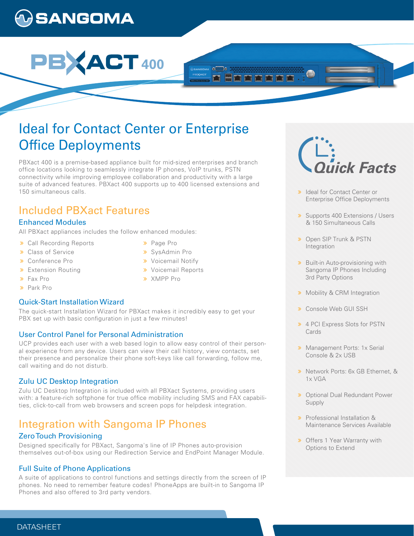# **)SANGOMA**



## Ideal for Contact Center or Enterprise **Office Deployments**

PBXact 400 is a premise-based appliance built for mid-sized enterprises and branch office locations looking to seamlessly integrate IP phones, VoIP trunks, PSTN connectivity while improving employee collaboration and productivity with a large suite of advanced features. PBXact 400 supports up to 400 licensed extensions and 150 simultaneous calls.

## Included PBXact Features

## Enhanced Modules

All PBXact appliances includes the follow enhanced modules:

- **>>** Call Recording Reports
- **>>** Class of Service
- Conference Pro
- **Extension Routing**
- > Fax Pro
- > Park Pro

## Quick-Start Installation Wizard

The quick-start Installation Wizard for PBXact makes it incredibly easy to get your PBX set up with basic configuration in just a few minutes!

## User Control Panel for Personal Administration

UCP provides each user with a web based login to allow easy control of their personal experience from any device. Users can view their call history, view contacts, set their presence and personalize their phone soft-keys like call forwarding, follow me, call waiting and do not disturb.

## Zulu UC Desktop Integration

Zulu UC Desktop Integration is included with all PBXact Systems, providing users with: a feature-rich softphone for true office mobility including SMS and FAX capabilities, click-to-call from web browsers and screen pops for helpdesk integration.

## Integration with Sangoma IP Phones

## Zero Touch Provisioning

Designed specifically for PBXact, Sangoma's line of IP Phones auto-provision themselves out-of-box using our Redirection Service and EndPoint Manager Module.

## Full Suite of Phone Applications

A suite of applications to control functions and settings directly from the screen of IP phones. No need to remember feature codes! PhoneApps are built-in to Sangoma IP Phones and also offered to 3rd party vendors.

- > Page Pro
- SysAdmin Pro
- **»** Voicemail Notify
- **»** Voicemail Reports
- XMPP Pro

i<br>ick Facts

- > Ideal for Contact Center or Enterprise Office Deployments
- **»** Supports 400 Extensions / Users & 150 Simultaneous Calls
- **»** Open SIP Trunk & PSTN Integration
- **»** Built-in Auto-provisioning with Sangoma IP Phones Including 3rd Party Options
- **»** Mobility & CRM Integration
- Console Web GUI SSH
- 4 PCI Express Slots for PSTN Cards
- **»** Management Ports: 1x Serial Console & 2x USB
- **»** Network Ports: 6x GB Ethernet, & 1x VGA
- **»** Optional Dual Redundant Power Supply
- Professional Installation & Maintenance Services Available
- **»** Offers 1 Year Warranty with Options to Extend